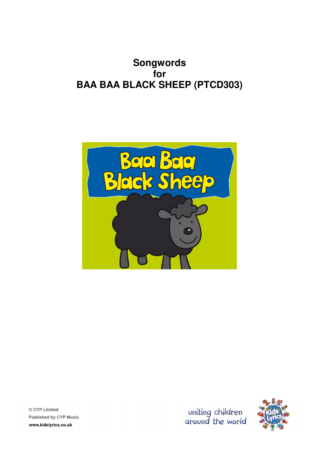# **Songwords for BAA BAA BLACK SHEEP (PTCD303)**

© CYP Limited **Published by CYP Music** www.kidslyrics.co.uk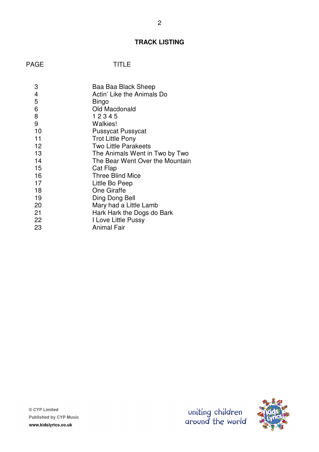# **TRACK LISTING**

| 3  | Baa Baa Black Sheep             |
|----|---------------------------------|
| 4  | Actin' Like the Animals Do      |
| 5  | Bingo                           |
| 6  | Old Macdonald                   |
| 8  | 12345                           |
| 9  | Walkies!                        |
| 10 | <b>Pussycat Pussycat</b>        |
| 11 | <b>Trot Little Pony</b>         |
| 12 | <b>Two Little Parakeets</b>     |
| 13 | The Animals Went in Two by Two  |
| 14 | The Bear Went Over the Mountain |
| 15 | Cat Flap                        |
| 16 | <b>Three Blind Mice</b>         |
| 17 | Little Bo Peep                  |
| 18 | <b>One Giraffe</b>              |
| 19 | Ding Dong Bell                  |
| 20 | Mary had a Little Lamb          |
| 21 | Hark Hark the Dogs do Bark      |
| 22 | I Love Little Pussy             |
| 23 | <b>Animal Fair</b>              |

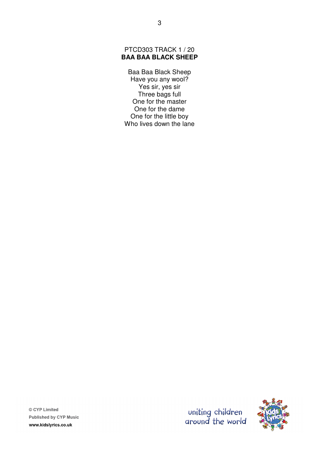# PTCD303 TRACK 1 / 20 **BAA BAA BLACK SHEEP**

Baa Baa Black Sheep Have you any wool? Yes sir, yes sir Three bags full One for the master One for the dame One for the little boy Who lives down the lane



© CYP Limited **Published by CYP Music** www.kidslyrics.co.uk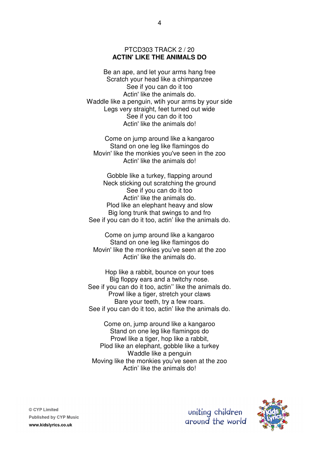# PTCD303 TRACK 2 / 20 **ACTIN' LIKE THE ANIMALS DO**

Be an ape, and let your arms hang free Scratch your head like a chimpanzee See if you can do it too Actin' like the animals do. Waddle like a penguin, wtih your arms by your side Legs very straight, feet turned out wide See if you can do it too Actin' like the animals do!

Come on jump around like a kangaroo Stand on one leg like flamingos do Movin' like the monkies you've seen in the zoo Actin' like the animals do!

Gobble like a turkey, flapping around Neck sticking out scratching the ground See if you can do it too Actin' like the animals do. Plod like an elephant heavy and slow Big long trunk that swings to and fro See if you can do it too, actin' like the animals do.

Come on jump around like a kangaroo Stand on one leg like flamingos do Movin' like the monkies you've seen at the zoo Actin' like the animals do.

Hop like a rabbit, bounce on your toes Big floppy ears and a twitchy nose. See if you can do it too, actin'' like the animals do. Prowl like a tiger, stretch your claws Bare your teeth, try a few roars. See if you can do it too, actin' like the animals do.

Come on, jump around like a kangaroo Stand on one leg like flamingos do Prowl like a tiger, hop like a rabbit, Plod like an elephant, gobble like a turkey Waddle like a penguin Moving like the monkies you've seen at the zoo Actin' like the animals do!

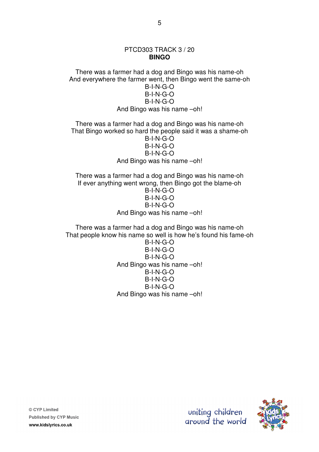# PTCD303 TRACK 3 / 20 **BINGO**

There was a farmer had a dog and Bingo was his name-oh And everywhere the farmer went, then Bingo went the same-oh B-I-N-G-O B-I-N-G-O B-I-N-G-O And Bingo was his name –oh!

There was a farmer had a dog and Bingo was his name-oh That Bingo worked so hard the people said it was a shame-oh B-I-N-G-O B-I-N-G-O B-I-N-G-O And Bingo was his name –oh!

There was a farmer had a dog and Bingo was his name-oh If ever anything went wrong, then Bingo got the blame-oh B-I-N-G-O B-I-N-G-O B-I-N-G-O And Bingo was his name –oh!

There was a farmer had a dog and Bingo was his name-oh That people know his name so well is how he's found his fame-oh

> B-I-N-G-O B-I-N-G-O B-I-N-G-O And Bingo was his name –oh! B-I-N-G-O B-I-N-G-O B-I-N-G-O And Bingo was his name –oh!



uniting children

ground the world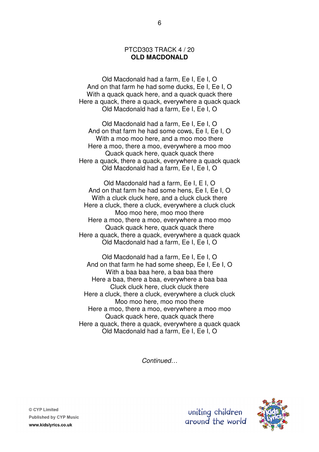#### PTCD303 TRACK 4 / 20 **OLD MACDONALD**

Old Macdonald had a farm, Ee I, Ee I, O And on that farm he had some ducks, Ee I, Ee I, O With a quack quack here, and a quack quack there Here a quack, there a quack, everywhere a quack quack Old Macdonald had a farm, Ee I, Ee I, O

Old Macdonald had a farm, Ee I, Ee I, O And on that farm he had some cows, Ee I, Ee I, O With a moo moo here, and a moo moo there Here a moo, there a moo, everywhere a moo moo Quack quack here, quack quack there Here a quack, there a quack, everywhere a quack quack Old Macdonald had a farm, Ee I, Ee I, O

Old Macdonald had a farm, Ee I, E I, O And on that farm he had some hens, Ee I, Ee I, O With a cluck cluck here, and a cluck cluck there Here a cluck, there a cluck, everywhere a cluck cluck Moo moo here, moo moo there Here a moo, there a moo, everywhere a moo moo Quack quack here, quack quack there Here a quack, there a quack, everywhere a quack quack Old Macdonald had a farm, Ee I, Ee I, O

Old Macdonald had a farm, Ee I, Ee I, O And on that farm he had some sheep, Ee I, Ee I, O With a baa baa here, a baa baa there Here a baa, there a baa, everywhere a baa baa Cluck cluck here, cluck cluck there Here a cluck, there a cluck, everywhere a cluck cluck Moo moo here, moo moo there Here a moo, there a moo, everywhere a moo moo Quack quack here, quack quack there Here a quack, there a quack, everywhere a quack quack Old Macdonald had a farm, Ee I, Ee I, O

Continued…

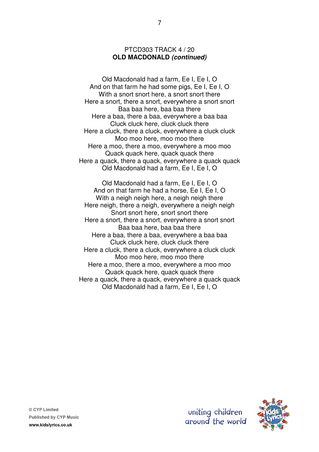# PTCD303 TRACK 4 / 20 **OLD MACDONALD (continued)**

Old Macdonald had a farm, Ee I, Ee I, O And on that farm he had some pigs, Ee I, Ee I, O With a snort snort here, a snort snort there Here a snort, there a snort, everywhere a snort snort Baa baa here, baa baa there Here a baa, there a baa, everywhere a baa baa Cluck cluck here, cluck cluck there Here a cluck, there a cluck, everywhere a cluck cluck Moo moo here, moo moo there Here a moo, there a moo, everywhere a moo moo Quack quack here, quack quack there Here a quack, there a quack, everywhere a quack quack Old Macdonald had a farm, Ee I, Ee I, O

Old Macdonald had a farm, Ee I, Ee I, O And on that farm he had a horse, Ee I, Ee I, O With a neigh neigh here, a neigh neigh there Here neigh, there a neigh, everywhere a neigh neigh Snort snort here, snort snort there Here a snort, there a snort, everywhere a snort snort Baa baa here, baa baa there Here a baa, there a baa, everywhere a baa baa Cluck cluck here, cluck cluck there Here a cluck, there a cluck, everywhere a cluck cluck Moo moo here, moo moo there Here a moo, there a moo, everywhere a moo moo Quack quack here, quack quack there Here a quack, there a quack, everywhere a quack quack Old Macdonald had a farm, Ee I, Ee I, O

© CYP Limited **Published by CYP Music** www.kidslyrics.co.uk

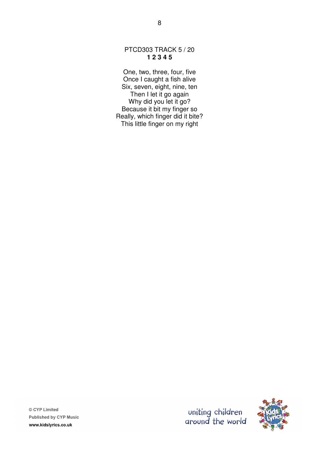# PTCD303 TRACK 5 / 20 **1 2 3 4 5**

8

One, two, three, four, five Once I caught a fish alive Six, seven, eight, nine, ten Then I let it go again Why did you let it go? Because it bit my finger so Really, which finger did it bite? This little finger on my right





© CYP Limited **Published by CYP Music** www.kidslyrics.co.uk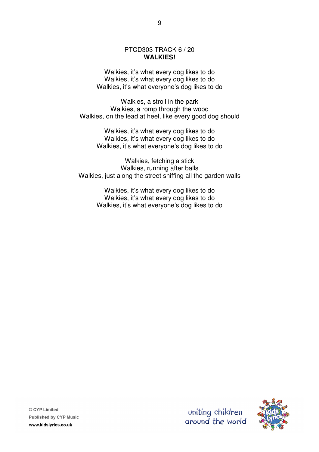#### PTCD303 TRACK 6 / 20 **WALKIES!**

Walkies, it's what every dog likes to do Walkies, it's what every dog likes to do Walkies, it's what everyone's dog likes to do

Walkies, a stroll in the park Walkies, a romp through the wood Walkies, on the lead at heel, like every good dog should

> Walkies, it's what every dog likes to do Walkies, it's what every dog likes to do Walkies, it's what everyone's dog likes to do

Walkies, fetching a stick Walkies, running after balls Walkies, just along the street sniffing all the garden walls

> Walkies, it's what every dog likes to do Walkies, it's what every dog likes to do Walkies, it's what everyone's dog likes to do



uniting children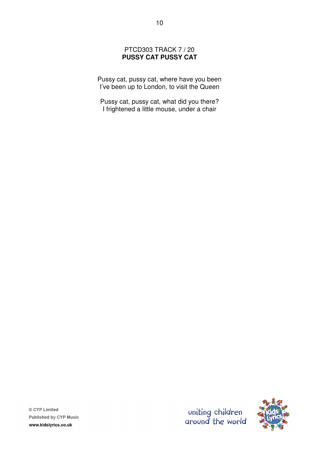# PTCD303 TRACK 7 / 20 **PUSSY CAT PUSSY CAT**

Pussy cat, pussy cat, where have you been I've been up to London, to visit the Queen

Pussy cat, pussy cat, what did you there? I frightened a little mouse, under a chair



uniting children<br>around the world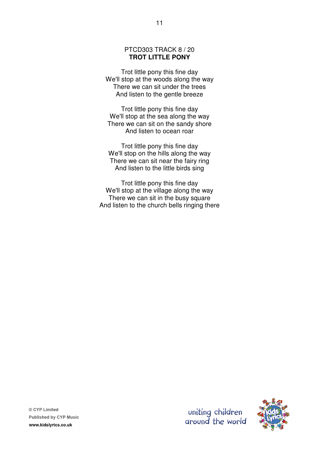# PTCD303 TRACK 8 / 20 **TROT LITTLE PONY**

Trot little pony this fine day We'll stop at the woods along the way There we can sit under the trees And listen to the gentle breeze

Trot little pony this fine day We'll stop at the sea along the way There we can sit on the sandy shore And listen to ocean roar

Trot little pony this fine day We'll stop on the hills along the way There we can sit near the fairy ring And listen to the little birds sing

Trot little pony this fine day We'll stop at the village along the way There we can sit in the busy square And listen to the church bells ringing there



uniting children

ground the world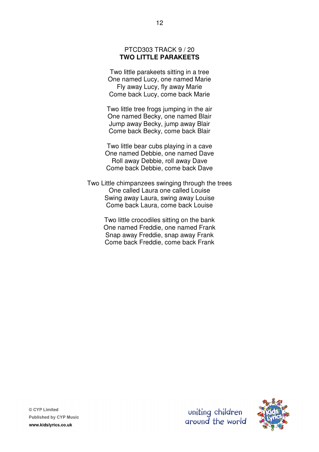# PTCD303 TRACK 9 / 20 **TWO LITTLE PARAKEETS**

Two little parakeets sitting in a tree One named Lucy, one named Marie Fly away Lucy, fly away Marie Come back Lucy, come back Marie

Two little tree frogs jumping in the air One named Becky, one named Blair Jump away Becky, jump away Blair Come back Becky, come back Blair

Two little bear cubs playing in a cave One named Debbie, one named Dave Roll away Debbie, roll away Dave Come back Debbie, come back Dave

Two Little chimpanzees swinging through the trees One called Laura one called Louise Swing away Laura, swing away Louise Come back Laura, come back Louise

> Two little crocodiles sitting on the bank One named Freddie, one named Frank Snap away Freddie, snap away Frank Come back Freddie, come back Frank

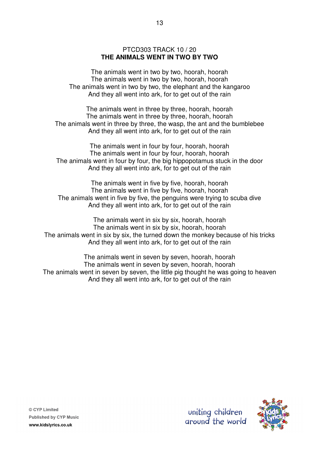# PTCD303 TRACK 10 / 20 **THE ANIMALS WENT IN TWO BY TWO**

The animals went in two by two, hoorah, hoorah The animals went in two by two, hoorah, hoorah The animals went in two by two, the elephant and the kangaroo And they all went into ark, for to get out of the rain

The animals went in three by three, hoorah, hoorah The animals went in three by three, hoorah, hoorah The animals went in three by three, the wasp, the ant and the bumblebee And they all went into ark, for to get out of the rain

The animals went in four by four, hoorah, hoorah The animals went in four by four, hoorah, hoorah The animals went in four by four, the big hippopotamus stuck in the door And they all went into ark, for to get out of the rain

The animals went in five by five, hoorah, hoorah The animals went in five by five, hoorah, hoorah The animals went in five by five, the penguins were trying to scuba dive And they all went into ark, for to get out of the rain

The animals went in six by six, hoorah, hoorah The animals went in six by six, hoorah, hoorah The animals went in six by six, the turned down the monkey because of his tricks And they all went into ark, for to get out of the rain

The animals went in seven by seven, hoorah, hoorah The animals went in seven by seven, hoorah, hoorah The animals went in seven by seven, the little pig thought he was going to heaven And they all went into ark, for to get out of the rain



© CYP Limited **Published by CYP Music** www.kidslyrics.co.uk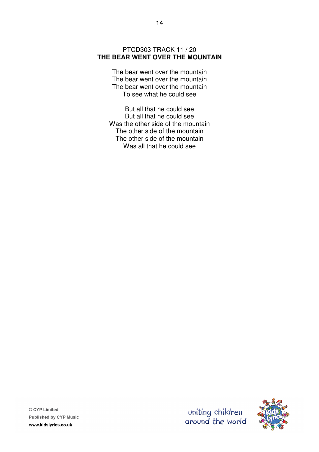# PTCD303 TRACK 11 / 20 **THE BEAR WENT OVER THE MOUNTAIN**

The bear went over the mountain The bear went over the mountain The bear went over the mountain To see what he could see

But all that he could see But all that he could see Was the other side of the mountain The other side of the mountain The other side of the mountain Was all that he could see

© CYP Limited **Published by CYP Music** www.kidslyrics.co.uk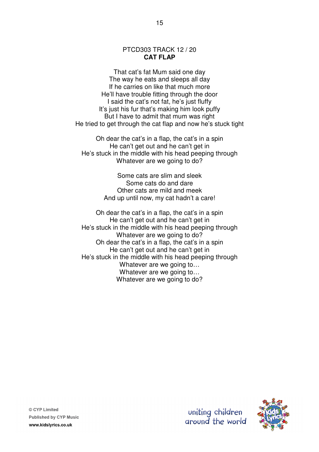#### PTCD303 TRACK 12 / 20 **CAT FLAP**

That cat's fat Mum said one day The way he eats and sleeps all day If he carries on like that much more He'll have trouble fitting through the door I said the cat's not fat, he's just fluffy It's just his fur that's making him look puffy But I have to admit that mum was right He tried to get through the cat flap and now he's stuck tight

Oh dear the cat's in a flap, the cat's in a spin He can't get out and he can't get in He's stuck in the middle with his head peeping through Whatever are we going to do?

> Some cats are slim and sleek Some cats do and dare Other cats are mild and meek And up until now, my cat hadn't a care!

Oh dear the cat's in a flap, the cat's in a spin He can't get out and he can't get in He's stuck in the middle with his head peeping through Whatever are we going to do? Oh dear the cat's in a flap, the cat's in a spin He can't get out and he can't get in He's stuck in the middle with his head peeping through Whatever are we going to… Whatever are we going to… Whatever are we going to do?

© CYP Limited **Published by CYP Music** www.kidslyrics.co.uk

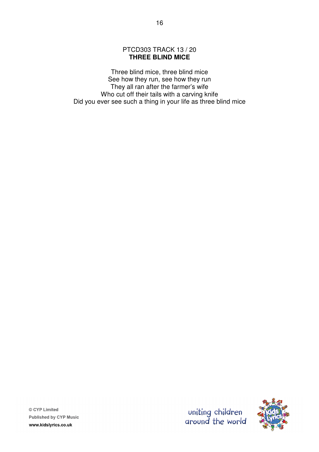# PTCD303 TRACK 13 / 20 **THREE BLIND MICE**

Three blind mice, three blind mice See how they run, see how they run They all ran after the farmer's wife Who cut off their tails with a carving knife Did you ever see such a thing in your life as three blind mice

© CYP Limited **Published by CYP Music** www.kidslyrics.co.uk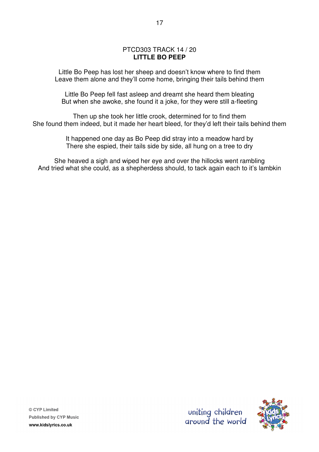# PTCD303 TRACK 14 / 20 **LITTLE BO PEEP**

Little Bo Peep has lost her sheep and doesn't know where to find them Leave them alone and they'll come home, bringing their tails behind them

Little Bo Peep fell fast asleep and dreamt she heard them bleating But when she awoke, she found it a joke, for they were still a-fleeting

Then up she took her little crook, determined for to find them She found them indeed, but it made her heart bleed, for they'd left their tails behind them

> It happened one day as Bo Peep did stray into a meadow hard by There she espied, their tails side by side, all hung on a tree to dry

She heaved a sigh and wiped her eye and over the hillocks went rambling And tried what she could, as a shepherdess should, to tack again each to it's lambkin

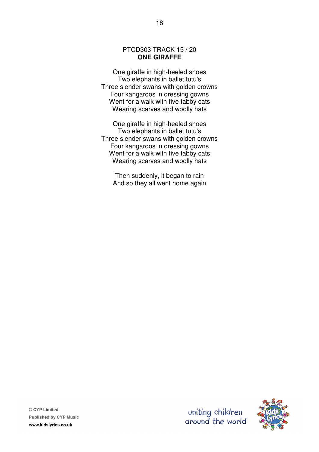# PTCD303 TRACK 15 / 20 **ONE GIRAFFE**

One giraffe in high-heeled shoes Two elephants in ballet tutu's Three slender swans with golden crowns Four kangaroos in dressing gowns Went for a walk with five tabby cats Wearing scarves and woolly hats

One giraffe in high-heeled shoes Two elephants in ballet tutu's Three slender swans with golden crowns Four kangaroos in dressing gowns Went for a walk with five tabby cats Wearing scarves and woolly hats

Then suddenly, it began to rain And so they all went home again

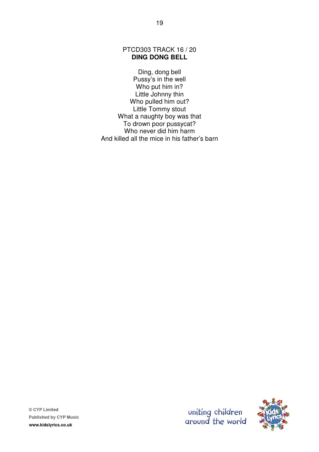PTCD303 TRACK 16 / 20 **DING DONG BELL** 

Ding, dong bell Pussy's in the well Who put him in? Little Johnny thin Who pulled him out? Little Tommy stout What a naughty boy was that To drown poor pussycat? Who never did him harm And killed all the mice in his father's barn



© CYP Limited **Published by CYP Music** www.kidslyrics.co.uk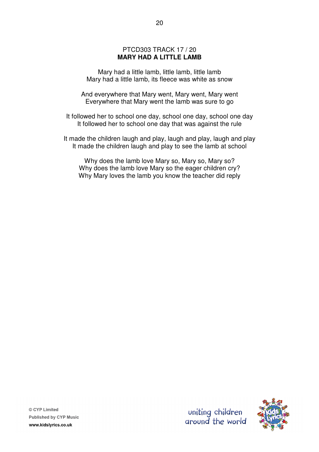# PTCD303 TRACK 17 / 20 **MARY HAD A LITTLE LAMB**

Mary had a little lamb, little lamb, little lamb Mary had a little lamb, its fleece was white as snow

And everywhere that Mary went, Mary went, Mary went Everywhere that Mary went the lamb was sure to go

It followed her to school one day, school one day, school one day It followed her to school one day that was against the rule

It made the children laugh and play, laugh and play, laugh and play It made the children laugh and play to see the lamb at school

Why does the lamb love Mary so, Mary so, Mary so? Why does the lamb love Mary so the eager children cry? Why Mary loves the lamb you know the teacher did reply

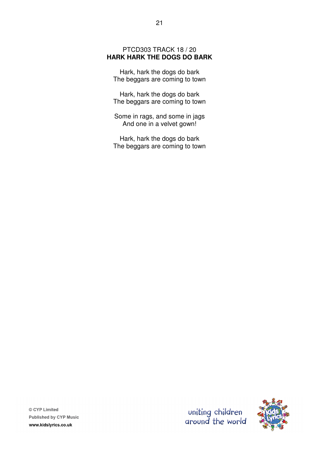# PTCD303 TRACK 18 / 20 **HARK HARK THE DOGS DO BARK**

Hark, hark the dogs do bark The beggars are coming to town

Hark, hark the dogs do bark The beggars are coming to town

Some in rags, and some in jags And one in a velvet gown!

Hark, hark the dogs do bark The beggars are coming to town

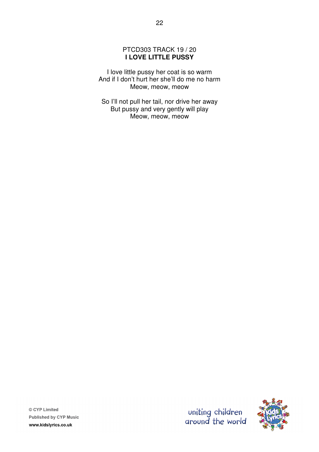# PTCD303 TRACK 19 / 20 **I LOVE LITTLE PUSSY**

I love little pussy her coat is so warm And if I don't hurt her she'll do me no harm Meow, meow, meow

So I'll not pull her tail, nor drive her away But pussy and very gently will play Meow, meow, meow



uniting children<br>around the world